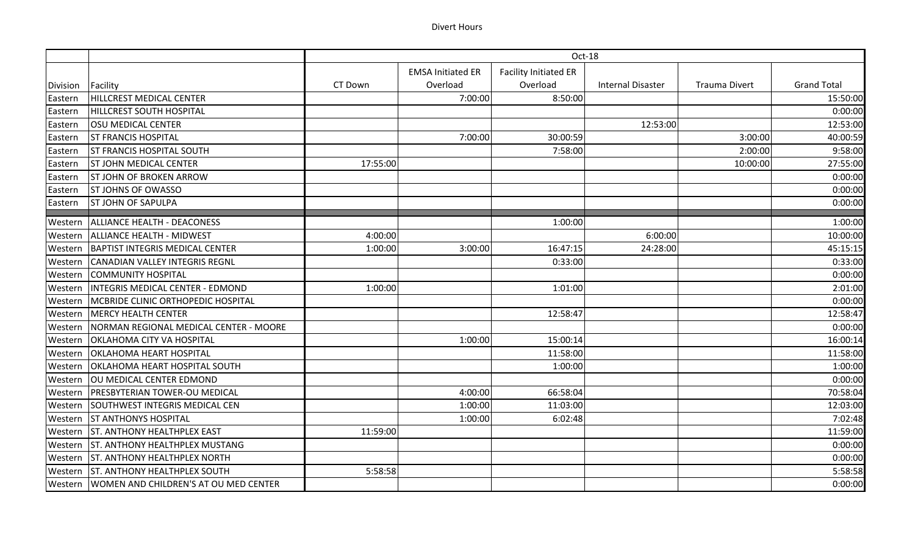## Divert Hours

|                 |                                                 | Oct-18   |                          |                              |                          |                      |                    |  |
|-----------------|-------------------------------------------------|----------|--------------------------|------------------------------|--------------------------|----------------------|--------------------|--|
|                 |                                                 |          | <b>EMSA Initiated ER</b> | <b>Facility Initiated ER</b> |                          |                      |                    |  |
| <b>Division</b> | Facility                                        | CT Down  | Overload                 | Overload                     | <b>Internal Disaster</b> | <b>Trauma Divert</b> | <b>Grand Total</b> |  |
| Eastern         | HILLCREST MEDICAL CENTER                        |          | 7:00:00                  | 8:50:00                      |                          |                      | 15:50:00           |  |
| Eastern         | <b>HILLCREST SOUTH HOSPITAL</b>                 |          |                          |                              |                          |                      | 0:00:00            |  |
| Eastern         | <b>OSU MEDICAL CENTER</b>                       |          |                          |                              | 12:53:00                 |                      | 12:53:00           |  |
| Eastern         | <b>ST FRANCIS HOSPITAL</b>                      |          | 7:00:00                  | 30:00:59                     |                          | 3:00:00              | 40:00:59           |  |
| Eastern         | <b>ST FRANCIS HOSPITAL SOUTH</b>                |          |                          | 7:58:00                      |                          | 2:00:00              | 9:58:00            |  |
| Eastern         | <b>ST JOHN MEDICAL CENTER</b>                   | 17:55:00 |                          |                              |                          | 10:00:00             | 27:55:00           |  |
| Eastern         | <b>ST JOHN OF BROKEN ARROW</b>                  |          |                          |                              |                          |                      | 0:00:00            |  |
| Eastern         | <b>ST JOHNS OF OWASSO</b>                       |          |                          |                              |                          |                      | 0:00:00            |  |
| Eastern         | <b>ST JOHN OF SAPULPA</b>                       |          |                          |                              |                          |                      | 0:00:00            |  |
| Western         | ALLIANCE HEALTH - DEACONESS                     |          |                          | 1:00:00                      |                          |                      | 1:00:00            |  |
| Western         | ALLIANCE HEALTH - MIDWEST                       | 4:00:00  |                          |                              | 6:00:00                  |                      | 10:00:00           |  |
| Western         | BAPTIST INTEGRIS MEDICAL CENTER                 | 1:00:00  | 3:00:00                  | 16:47:15                     | 24:28:00                 |                      | 45:15:15           |  |
| Western         | CANADIAN VALLEY INTEGRIS REGNL                  |          |                          | 0:33:00                      |                          |                      | 0:33:00            |  |
| Western         | <b>COMMUNITY HOSPITAL</b>                       |          |                          |                              |                          |                      | 0:00:00            |  |
| Western         | INTEGRIS MEDICAL CENTER - EDMOND                | 1:00:00  |                          | 1:01:00                      |                          |                      | 2:01:00            |  |
| Western         | MCBRIDE CLINIC ORTHOPEDIC HOSPITAL              |          |                          |                              |                          |                      | 0:00:00            |  |
| Western         | <b>MERCY HEALTH CENTER</b>                      |          |                          | 12:58:47                     |                          |                      | 12:58:47           |  |
| Western         | NORMAN REGIONAL MEDICAL CENTER - MOORE          |          |                          |                              |                          |                      | 0:00:00            |  |
| Western         | OKLAHOMA CITY VA HOSPITAL                       |          | 1:00:00                  | 15:00:14                     |                          |                      | 16:00:14           |  |
| Western         | <b>OKLAHOMA HEART HOSPITAL</b>                  |          |                          | 11:58:00                     |                          |                      | 11:58:00           |  |
| Western         | OKLAHOMA HEART HOSPITAL SOUTH                   |          |                          | 1:00:00                      |                          |                      | 1:00:00            |  |
| Western         | OU MEDICAL CENTER EDMOND                        |          |                          |                              |                          |                      | 0:00:00            |  |
| Western         | <b>PRESBYTERIAN TOWER-OU MEDICAL</b>            |          | 4:00:00                  | 66:58:04                     |                          |                      | 70:58:04           |  |
| Western         | SOUTHWEST INTEGRIS MEDICAL CEN                  |          | 1:00:00                  | 11:03:00                     |                          |                      | 12:03:00           |  |
| Western         | <b>ST ANTHONYS HOSPITAL</b>                     |          | 1:00:00                  | 6:02:48                      |                          |                      | 7:02:48            |  |
| Western         | <b>ST. ANTHONY HEALTHPLEX EAST</b>              | 11:59:00 |                          |                              |                          |                      | 11:59:00           |  |
| Western         | <b>ST. ANTHONY HEALTHPLEX MUSTANG</b>           |          |                          |                              |                          |                      | 0:00:00            |  |
| Western         | <b>ST. ANTHONY HEALTHPLEX NORTH</b>             |          |                          |                              |                          |                      | 0:00:00            |  |
| Western         | <b>ST. ANTHONY HEALTHPLEX SOUTH</b>             | 5:58:58  |                          |                              |                          |                      | 5:58:58            |  |
|                 | Western   WOMEN AND CHILDREN'S AT OU MED CENTER |          |                          |                              |                          |                      | 0:00:00            |  |